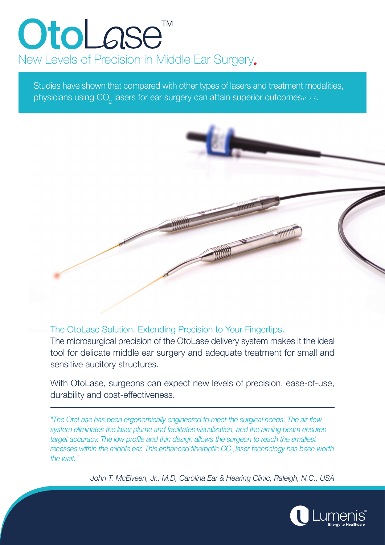# OtoLase<sup>®</sup> New Levels of Precision in Middle Ear Surgery.

Studies have shown that compared with other types of lasers and treatment modalities, physicians using CO<sub>2</sub> lasers for ear surgery can attain superior outcomes  $_{(1,2,3)}$ .



The OtoLase Solution. Extending Precision to Your Fingertips.

The microsurgical precision of the OtoLase delivery system makes it the ideal tool for delicate middle ear surgery and adequate treatment for small and sensitive auditory structures.

With OtoLase, surgeons can expect new levels of precision, ease-of-use, durability and cost-effectiveness.

*"The OtoLase has been ergonomically engineered to meet the surgical needs. The air flow* system eliminates the laser plume and facilitates visualization, and the aiming beam ensures target accuracy. The low profile and thin design allows the surgeon to reach the smallest *2 recesses within the middle ear. This enhanced fiberoptic CO<sub>2</sub> laser technology has been worth* the wait."

John T. McElveen, Jr., M.D., Carolina Ear & Hearing Clinic, Raleigh, N.C., USA